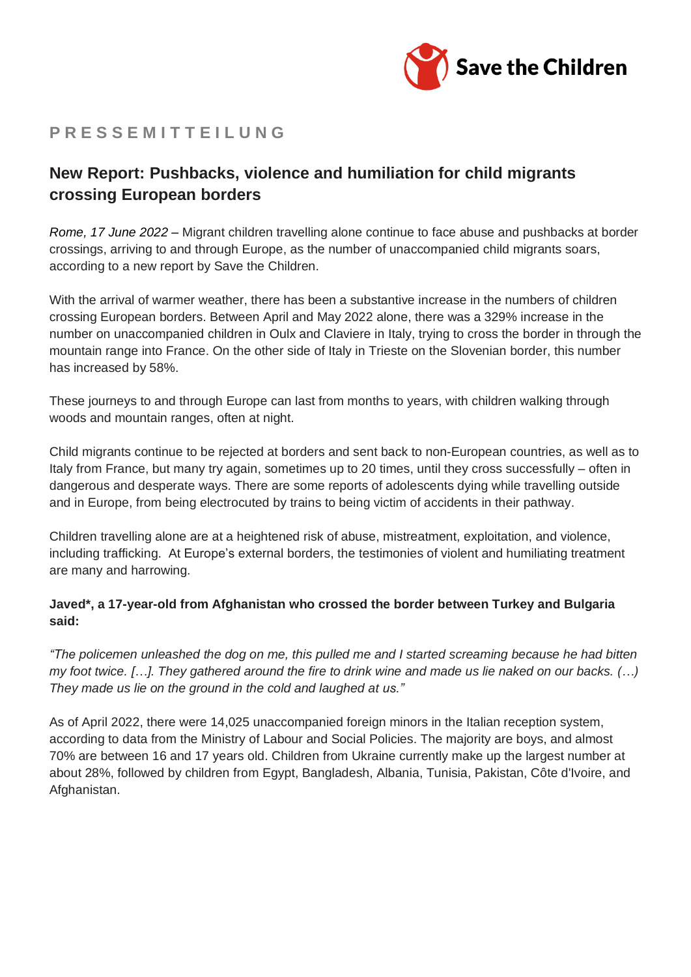

# **P R E S S E M I T T E I L U N G**

## **New Report: Pushbacks, violence and humiliation for child migrants crossing European borders**

*Rome, 17 June 2022 –* Migrant children travelling alone continue to face abuse and pushbacks at border crossings, arriving to and through Europe, as the number of unaccompanied child migrants soars, according to a new report by Save the Children.

With the arrival of warmer weather, there has been a substantive increase in the numbers of children crossing European borders. Between April and May 2022 alone, there was a 329% increase in the number on unaccompanied children in Oulx and Claviere in Italy, trying to cross the border in through the mountain range into France. On the other side of Italy in Trieste on the Slovenian border, this number has increased by 58%.

These journeys to and through Europe can last from months to years, with children walking through woods and mountain ranges, often at night.

Child migrants continue to be rejected at borders and sent back to non-European countries, as well as to Italy from France, but many try again, sometimes up to 20 times, until they cross successfully – often in dangerous and desperate ways. There are some reports of adolescents dying while travelling outside and in Europe, from being electrocuted by trains to being victim of accidents in their pathway.

Children travelling alone are at a heightened risk of abuse, mistreatment, exploitation, and violence, including trafficking. At Europe's external borders, the testimonies of violent and humiliating treatment are many and harrowing.

### **Javed\*, a 17-year-old from Afghanistan who crossed the border between Turkey and Bulgaria said:**

"The policemen unleashed the dog on me, this pulled me and I started screaming because he had bitten my foot twice. [...]. They gathered around the fire to drink wine and made us lie naked on our backs. (...) *They made us lie on the ground in the cold and laughed at us."*

As of April 2022, there were 14,025 unaccompanied foreign minors in the Italian reception system, according to data from the Ministry of Labour and Social Policies. The majority are boys, and almost 70% are between 16 and 17 years old. Children from Ukraine currently make up the largest number at about 28%, followed by children from Egypt, Bangladesh, Albania, Tunisia, Pakistan, Côte d'Ivoire, and Afghanistan.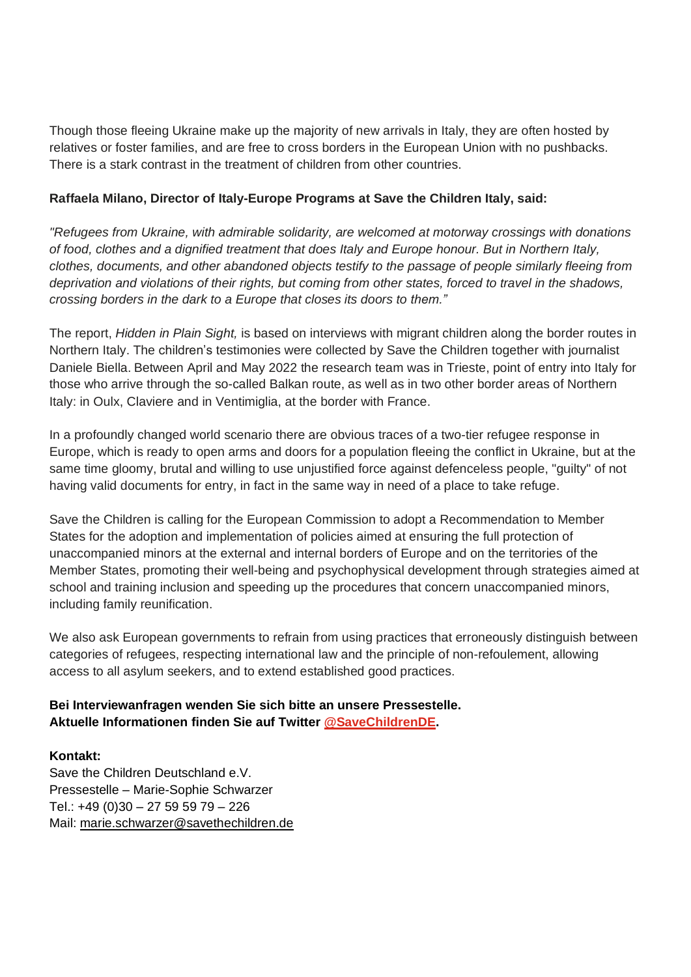Though those fleeing Ukraine make up the majority of new arrivals in Italy, they are often hosted by relatives or foster families, and are free to cross borders in the European Union with no pushbacks. There is a stark contrast in the treatment of children from other countries.

#### **Raffaela Milano, Director of Italy-Europe Programs at Save the Children Italy, said:**

*"Refugees from Ukraine, with admirable solidarity, are welcomed at motorway crossings with donations of food, clothes and a dignified treatment that does Italy and Europe honour. But in Northern Italy, clothes, documents, and other abandoned objects testify to the passage of people similarly fleeing from* deprivation and violations of their rights, but coming from other states, forced to travel in the shadows, *crossing borders in the dark to a Europe that closes its doors to them."*

The report, *Hidden in Plain Sight,* is based on interviews with migrant children along the border routes in Northern Italy. The children's testimonies were collected by Save the Children together with journalist Daniele Biella. Between April and May 2022 the research team was in Trieste, point of entry into Italy for those who arrive through the so-called Balkan route, as well as in two other border areas of Northern Italy: in Oulx, Claviere and in Ventimiglia, at the border with France.

In a profoundly changed world scenario there are obvious traces of a two-tier refugee response in Europe, which is ready to open arms and doors for a population fleeing the conflict in Ukraine, but at the same time gloomy, brutal and willing to use unjustified force against defenceless people, "guilty" of not having valid documents for entry, in fact in the same way in need of a place to take refuge.

Save the Children is calling for the European Commission to adopt a Recommendation to Member States for the adoption and implementation of policies aimed at ensuring the full protection of unaccompanied minors at the external and internal borders of Europe and on the territories of the Member States, promoting their well-being and psychophysical development through strategies aimed at school and training inclusion and speeding up the procedures that concern unaccompanied minors, including family reunification.

We also ask European governments to refrain from using practices that erroneously distinguish between categories of refugees, respecting international law and the principle of non-refoulement, allowing access to all asylum seekers, and to extend established good practices.

#### **Bei Interviewanfragen wenden Sie sich bitte an unsere Pressestelle. Aktuelle Informationen finden Sie auf Twitter [@SaveChildrenDE.](https://eur05.safelinks.protection.outlook.com/?url=https%3A%2F%2Ftwitter.com%2FSaveChildrenDE&data=04%7C01%7Csilke.zorn%40savethechildren.de%7C7cbed3dfab904da6ccfc08da0125d679%7C7e675e17e6ed49b38fb77005366df847%7C0%7C0%7C637823559276162466%7CUnknown%7CTWFpbGZsb3d8eyJWIjoiMC4wLjAwMDAiLCJQIjoiV2luMzIiLCJBTiI6Ik1haWwiLCJXVCI6Mn0%3D%7C3000&sdata=h5y0UHqbOt9DkEY0BFj3EVG%2B5vcKH%2BJa50yAatGpqmY%3D&reserved=0)**

#### **Kontakt:**

Save the Children Deutschland e.V. Pressestelle – Marie-Sophie Schwarzer Tel.: +49 (0)30 – 27 59 59 79 – 226 Mail: [marie.schwarzer@savethechildren.de](mailto:marie.schwarzer@savethechildren.de)